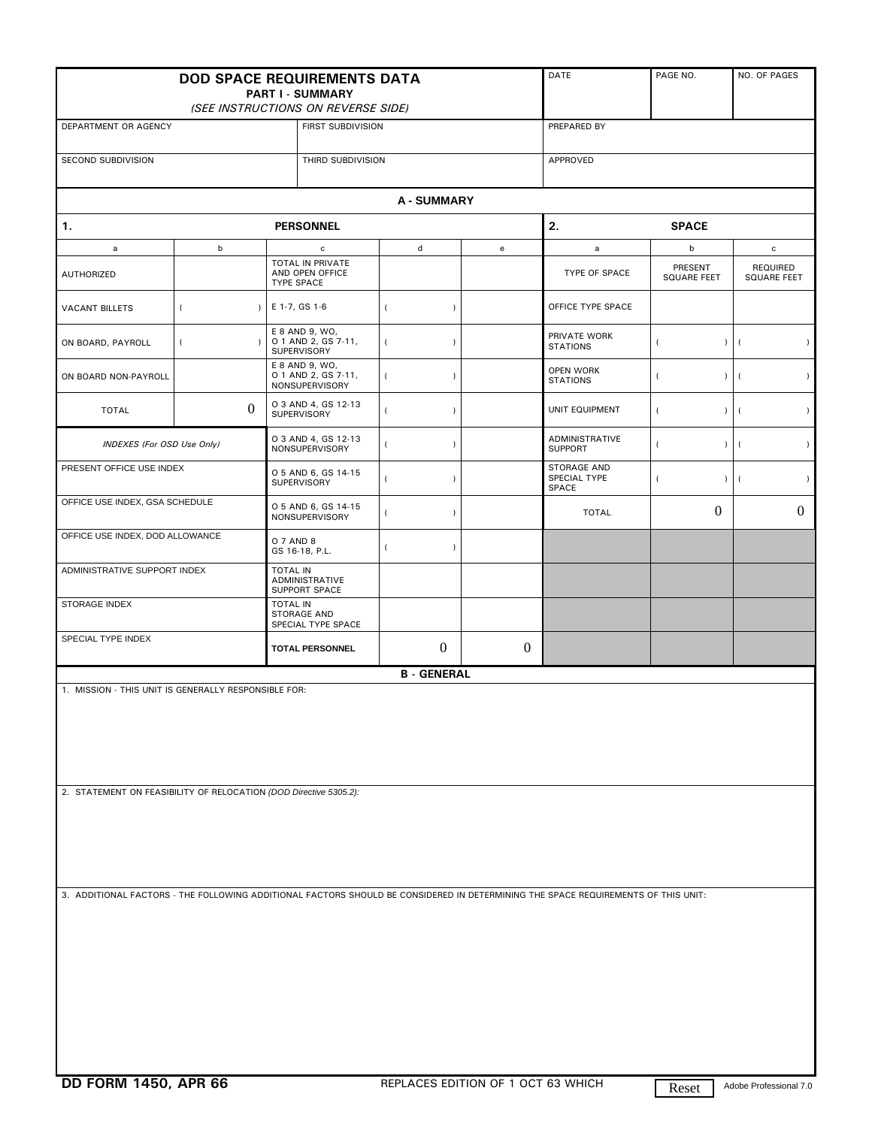| <b>DOD SPACE REQUIREMENTS DATA</b><br><b>PART I - SUMMARY</b><br>(SEE INSTRUCTIONS ON REVERSE SIDE)                               |                             |                                                          |                             |              | DATE                                    | PAGE NO.                    | NO. OF PAGES            |  |
|-----------------------------------------------------------------------------------------------------------------------------------|-----------------------------|----------------------------------------------------------|-----------------------------|--------------|-----------------------------------------|-----------------------------|-------------------------|--|
| DEPARTMENT OR AGENCY                                                                                                              |                             |                                                          | FIRST SUBDIVISION           |              |                                         | PREPARED BY                 |                         |  |
| SECOND SUBDIVISION                                                                                                                |                             |                                                          | THIRD SUBDIVISION           |              |                                         | APPROVED                    |                         |  |
|                                                                                                                                   |                             |                                                          | <b>A-SUMMARY</b>            |              |                                         |                             |                         |  |
| 1.                                                                                                                                |                             | <b>PERSONNEL</b>                                         |                             |              |                                         | 2.<br><b>SPACE</b>          |                         |  |
| a                                                                                                                                 | $\mathsf b$                 | $\mathbf c$                                              | $\mathsf d$                 | ${\bf e}$    | a                                       | b                           | c                       |  |
| <b>AUTHORIZED</b>                                                                                                                 |                             | TOTAL IN PRIVATE<br>AND OPEN OFFICE<br><b>TYPE SPACE</b> |                             |              | TYPE OF SPACE                           | PRESENT<br>SQUARE FEET      | REQUIRED<br>SQUARE FEET |  |
| <b>VACANT BILLETS</b>                                                                                                             | $\overline{(}$<br>$\lambda$ | E 1-7, GS 1-6                                            | $\left($<br>$\lambda$       |              | OFFICE TYPE SPACE                       |                             |                         |  |
| ON BOARD, PAYROLL                                                                                                                 | $\overline{(}$              | E 8 AND 9, WO,<br>O 1 AND 2, GS 7-11,<br>SUPERVISORY     | $\left($<br>$\lambda$       |              | PRIVATE WORK<br><b>STATIONS</b>         | $\lambda$                   | $\lambda$               |  |
| ON BOARD NON-PAYROLL                                                                                                              |                             | E 8 AND 9, WO,<br>0 1 AND 2, GS 7-11,<br>NONSUPERVISORY  | $\overline{(}$<br>$\lambda$ |              | OPEN WORK<br><b>STATIONS</b>            | $\lambda$                   | $\lambda$               |  |
| <b>TOTAL</b>                                                                                                                      | $\Omega$                    | O 3 AND 4, GS 12-13<br>SUPERVISORY                       | $\overline{(}$<br>$\lambda$ |              | UNIT EQUIPMENT                          | $\lambda$<br>$\overline{ }$ | $\lambda$               |  |
| INDEXES (For OSD Use Only)                                                                                                        |                             | O 3 AND 4, GS 12-13<br><b>NONSUPERVISORY</b>             | $\overline{(}$<br>$\lambda$ |              | <b>ADMINISTRATIVE</b><br><b>SUPPORT</b> | $\lambda$                   | $\lambda$               |  |
| PRESENT OFFICE USE INDEX                                                                                                          |                             | O 5 AND 6, GS 14-15<br>SUPERVISORY                       | $\overline{(}$<br>$\lambda$ |              | STORAGE AND<br>SPECIAL TYPE<br>SPACE    | $\lambda$                   | $\lambda$               |  |
| OFFICE USE INDEX, GSA SCHEDULE                                                                                                    |                             | O 5 AND 6, GS 14-15<br>NONSUPERVISORY                    | $\overline{(}$<br>$\lambda$ |              | <b>TOTAL</b>                            | $\overline{0}$              | $\boldsymbol{0}$        |  |
| OFFICE USE INDEX, DOD ALLOWANCE                                                                                                   |                             | 0 7 AND 8<br>GS 16-18, P.L.                              | $\overline{(}$<br>$\lambda$ |              |                                         |                             |                         |  |
| ADMINISTRATIVE SUPPORT INDEX                                                                                                      |                             | <b>TOTAL IN</b><br>ADMINISTRATIVE<br>SUPPORT SPACE       |                             |              |                                         |                             |                         |  |
| <b>STORAGE INDEX</b>                                                                                                              |                             | <b>TOTAL IN</b><br>STORAGE AND<br>SPECIAL TYPE SPACE     |                             |              |                                         |                             |                         |  |
| SPECIAL TYPE INDEX                                                                                                                |                             | <b>TOTAL PERSONNEL</b>                                   | $\theta$                    | $\mathbf{0}$ |                                         |                             |                         |  |
| <b>B - GENERAL</b>                                                                                                                |                             |                                                          |                             |              |                                         |                             |                         |  |
| 1. MISSION - THIS UNIT IS GENERALLY RESPONSIBLE FOR:                                                                              |                             |                                                          |                             |              |                                         |                             |                         |  |
| 2. STATEMENT ON FEASIBILITY OF RELOCATION (DOD Directive 5305.2):                                                                 |                             |                                                          |                             |              |                                         |                             |                         |  |
| 3. ADDITIONAL FACTORS - THE FOLLOWING ADDITIONAL FACTORS SHOULD BE CONSIDERED IN DETERMINING THE SPACE REQUIREMENTS OF THIS UNIT: |                             |                                                          |                             |              |                                         |                             |                         |  |